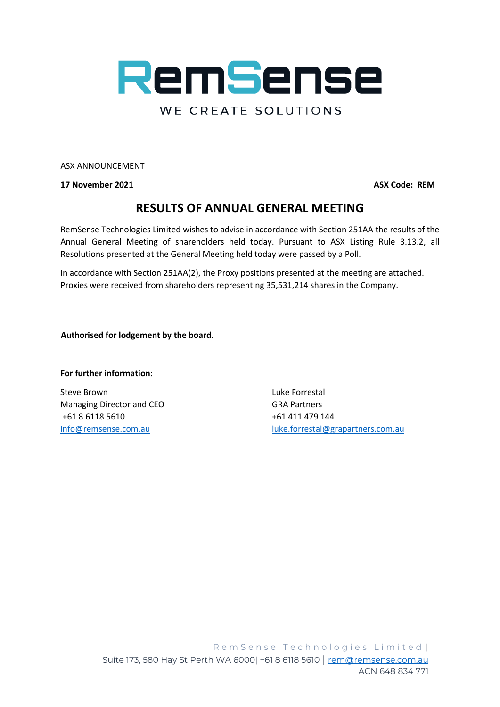

ASX ANNOUNCEMENT

**17 November 2021 ASX Code: REM**

## **RESULTS OF ANNUAL GENERAL MEETING**

RemSense Technologies Limited wishes to advise in accordance with Section 251AA the results of the Annual General Meeting of shareholders held today. Pursuant to ASX Listing Rule 3.13.2, all Resolutions presented at the General Meeting held today were passed by a Poll.

In accordance with Section 251AA(2), the Proxy positions presented at the meeting are attached. Proxies were received from shareholders representing 35,531,214 shares in the Company.

 **Authorised for lodgement by the board.**

## **For further information:**

Steve Brown and the Contract of the Contract Contract Luke Forrestal Managing Director and CEO GRA Partners +61 8 6118 5610 +61 411 479 144

[info@remsense.com.au](mailto:info@remsense.com.au) [luke.forrestal@grapartners.com.au](mailto:luke.forrestal@grapartners.com.au)